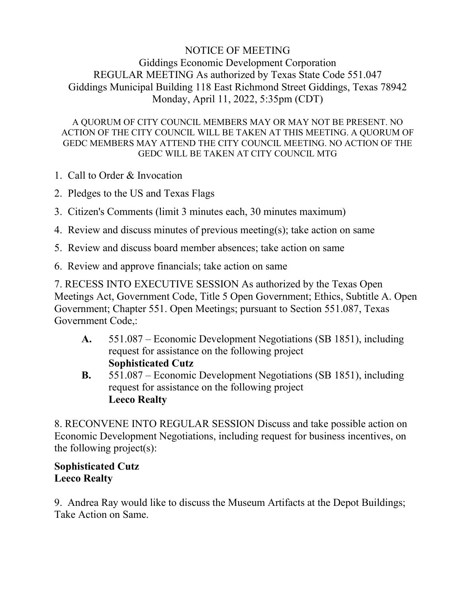## NOTICE OF MEETING Giddings Economic Development Corporation REGULAR MEETING As authorized by Texas State Code 551.047 Giddings Municipal Building 118 East Richmond Street Giddings, Texas 78942 Monday, April 11, 2022, 5:35pm (CDT)

A QUORUM OF CITY COUNCIL MEMBERS MAY OR MAY NOT BE PRESENT. NO ACTION OF THE CITY COUNCIL WILL BE TAKEN AT THIS MEETING. A QUORUM OF GEDC MEMBERS MAY ATTEND THE CITY COUNCIL MEETING. NO ACTION OF THE GEDC WILL BE TAKEN AT CITY COUNCIL MTG

- 1. Call to Order & Invocation
- 2. Pledges to the US and Texas Flags
- 3. Citizen's Comments (limit 3 minutes each, 30 minutes maximum)
- 4. Review and discuss minutes of previous meeting(s); take action on same
- 5. Review and discuss board member absences; take action on same
- 6. Review and approve financials; take action on same

7. RECESS INTO EXECUTIVE SESSION As authorized by the Texas Open Meetings Act, Government Code, Title 5 Open Government; Ethics, Subtitle A. Open Government; Chapter 551. Open Meetings; pursuant to Section 551.087, Texas Government Code,:

- **A.** 551.087 Economic Development Negotiations (SB 1851), including request for assistance on the following project **Sophisticated Cutz**
- **B.** 551.087 Economic Development Negotiations (SB 1851), including request for assistance on the following project **Leeco Realty**

8. RECONVENE INTO REGULAR SESSION Discuss and take possible action on Economic Development Negotiations, including request for business incentives, on the following project(s):

## **Sophisticated Cutz Leeco Realty**

9. Andrea Ray would like to discuss the Museum Artifacts at the Depot Buildings; Take Action on Same.